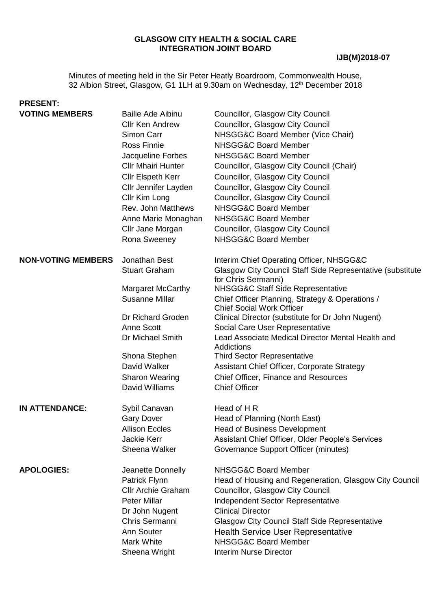#### **GLASGOW CITY HEALTH & SOCIAL CARE INTEGRATION JOINT BOARD**

Minutes of meeting held in the Sir Peter Heatly Boardroom, Commonwealth House, 32 Albion Street, Glasgow, G1 1LH at 9.30am on Wednesday, 12<sup>th</sup> December 2018

# **PRESENT: VOTING MEMBERS** Bailie Ade Aibinu Councillor, Glasgow City Council

| <b>VUTING MEMBERS</b>     | Ballie Ade Albinu<br><b>Cllr Ken Andrew</b><br>Simon Carr<br><b>Ross Finnie</b><br>Jacqueline Forbes<br><b>Cllr Mhairi Hunter</b><br><b>Cllr Elspeth Kerr</b><br>Cllr Jennifer Layden<br>Cllr Kim Long<br>Rev. John Matthews<br>Anne Marie Monaghan<br>Cllr Jane Morgan<br>Rona Sweeney | Councillor, Glasgow City Council<br>Councillor, Glasgow City Council<br>NHSGG&C Board Member (Vice Chair)<br>NHSGG&C Board Member<br>NHSGG&C Board Member<br>Councillor, Glasgow City Council (Chair)<br>Councillor, Glasgow City Council<br>Councillor, Glasgow City Council<br>Councillor, Glasgow City Council<br>NHSGG&C Board Member<br>NHSGG&C Board Member<br>Councillor, Glasgow City Council<br>NHSGG&C Board Member                                                                                                                                                        |
|---------------------------|-----------------------------------------------------------------------------------------------------------------------------------------------------------------------------------------------------------------------------------------------------------------------------------------|--------------------------------------------------------------------------------------------------------------------------------------------------------------------------------------------------------------------------------------------------------------------------------------------------------------------------------------------------------------------------------------------------------------------------------------------------------------------------------------------------------------------------------------------------------------------------------------|
| <b>NON-VOTING MEMBERS</b> | Jonathan Best<br><b>Stuart Graham</b><br><b>Margaret McCarthy</b><br><b>Susanne Millar</b><br>Dr Richard Groden<br>Anne Scott<br>Dr Michael Smith<br>Shona Stephen<br>David Walker<br><b>Sharon Wearing</b><br>David Williams                                                           | Interim Chief Operating Officer, NHSGG&C<br>Glasgow City Council Staff Side Representative (substitute<br>for Chris Sermanni)<br><b>NHSGG&amp;C Staff Side Representative</b><br>Chief Officer Planning, Strategy & Operations /<br><b>Chief Social Work Officer</b><br>Clinical Director (substitute for Dr John Nugent)<br>Social Care User Representative<br>Lead Associate Medical Director Mental Health and<br>Addictions<br><b>Third Sector Representative</b><br>Assistant Chief Officer, Corporate Strategy<br>Chief Officer, Finance and Resources<br><b>Chief Officer</b> |
| <b>IN ATTENDANCE:</b>     | Sybil Canavan<br><b>Gary Dover</b><br><b>Allison Eccles</b><br><b>Jackie Kerr</b><br>Sheena Walker                                                                                                                                                                                      | Head of H R<br>Head of Planning (North East)<br><b>Head of Business Development</b><br>Assistant Chief Officer, Older People's Services<br>Governance Support Officer (minutes)                                                                                                                                                                                                                                                                                                                                                                                                      |
| <b>APOLOGIES:</b>         | Jeanette Donnelly<br>Patrick Flynn<br><b>Cllr Archie Graham</b><br><b>Peter Millar</b><br>Dr John Nugent<br>Chris Sermanni<br>Ann Souter<br>Mark White<br>Sheena Wright                                                                                                                 | NHSGG&C Board Member<br>Head of Housing and Regeneration, Glasgow City Council<br>Councillor, Glasgow City Council<br>Independent Sector Representative<br><b>Clinical Director</b><br><b>Glasgow City Council Staff Side Representative</b><br><b>Health Service User Representative</b><br>NHSGG&C Board Member<br><b>Interim Nurse Director</b>                                                                                                                                                                                                                                   |
|                           |                                                                                                                                                                                                                                                                                         |                                                                                                                                                                                                                                                                                                                                                                                                                                                                                                                                                                                      |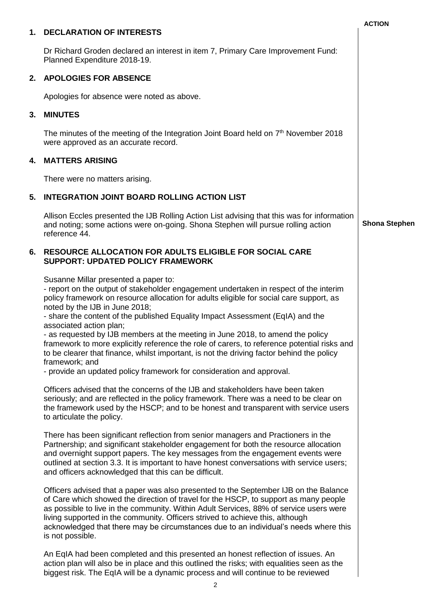|    | 1. DECLARATION OF INTERESTS                                                                                                                                                                                                                                                                                                                                                                                                                                                                                                                                                                                                                                                                                                                      | <b>AUTION</b>        |
|----|--------------------------------------------------------------------------------------------------------------------------------------------------------------------------------------------------------------------------------------------------------------------------------------------------------------------------------------------------------------------------------------------------------------------------------------------------------------------------------------------------------------------------------------------------------------------------------------------------------------------------------------------------------------------------------------------------------------------------------------------------|----------------------|
|    | Dr Richard Groden declared an interest in item 7, Primary Care Improvement Fund:<br>Planned Expenditure 2018-19.                                                                                                                                                                                                                                                                                                                                                                                                                                                                                                                                                                                                                                 |                      |
| 2. | <b>APOLOGIES FOR ABSENCE</b>                                                                                                                                                                                                                                                                                                                                                                                                                                                                                                                                                                                                                                                                                                                     |                      |
|    | Apologies for absence were noted as above.                                                                                                                                                                                                                                                                                                                                                                                                                                                                                                                                                                                                                                                                                                       |                      |
| 3. | <b>MINUTES</b>                                                                                                                                                                                                                                                                                                                                                                                                                                                                                                                                                                                                                                                                                                                                   |                      |
|    | The minutes of the meeting of the Integration Joint Board held on $7th$ November 2018<br>were approved as an accurate record.                                                                                                                                                                                                                                                                                                                                                                                                                                                                                                                                                                                                                    |                      |
| 4. | <b>MATTERS ARISING</b>                                                                                                                                                                                                                                                                                                                                                                                                                                                                                                                                                                                                                                                                                                                           |                      |
|    | There were no matters arising.                                                                                                                                                                                                                                                                                                                                                                                                                                                                                                                                                                                                                                                                                                                   |                      |
| 5. | <b>INTEGRATION JOINT BOARD ROLLING ACTION LIST</b>                                                                                                                                                                                                                                                                                                                                                                                                                                                                                                                                                                                                                                                                                               |                      |
|    | Allison Eccles presented the IJB Rolling Action List advising that this was for information<br>and noting; some actions were on-going. Shona Stephen will pursue rolling action<br>reference 44.                                                                                                                                                                                                                                                                                                                                                                                                                                                                                                                                                 | <b>Shona Stephen</b> |
| 6. | <b>RESOURCE ALLOCATION FOR ADULTS ELIGIBLE FOR SOCIAL CARE</b><br><b>SUPPORT: UPDATED POLICY FRAMEWORK</b>                                                                                                                                                                                                                                                                                                                                                                                                                                                                                                                                                                                                                                       |                      |
|    | Susanne Millar presented a paper to:<br>- report on the output of stakeholder engagement undertaken in respect of the interim<br>policy framework on resource allocation for adults eligible for social care support, as<br>noted by the IJB in June 2018;<br>- share the content of the published Equality Impact Assessment (EqIA) and the<br>associated action plan;<br>- as requested by IJB members at the meeting in June 2018, to amend the policy<br>framework to more explicitly reference the role of carers, to reference potential risks and<br>to be clearer that finance, whilst important, is not the driving factor behind the policy<br>framework; and<br>- provide an updated policy framework for consideration and approval. |                      |
|    | Officers advised that the concerns of the IJB and stakeholders have been taken<br>seriously; and are reflected in the policy framework. There was a need to be clear on<br>the framework used by the HSCP; and to be honest and transparent with service users<br>to articulate the policy.                                                                                                                                                                                                                                                                                                                                                                                                                                                      |                      |
|    | There has been significant reflection from senior managers and Practioners in the<br>Partnership; and significant stakeholder engagement for both the resource allocation<br>and overnight support papers. The key messages from the engagement events were<br>outlined at section 3.3. It is important to have honest conversations with service users;<br>and officers acknowledged that this can be difficult.                                                                                                                                                                                                                                                                                                                                |                      |
|    | Officers advised that a paper was also presented to the September IJB on the Balance<br>of Care which showed the direction of travel for the HSCP, to support as many people<br>as possible to live in the community. Within Adult Services, 88% of service users were<br>living supported in the community. Officers strived to achieve this, although<br>acknowledged that there may be circumstances due to an individual's needs where this<br>is not possible.                                                                                                                                                                                                                                                                              |                      |
|    | An EqIA had been completed and this presented an honest reflection of issues. An<br>action plan will also be in place and this outlined the risks; with equalities seen as the<br>biggest risk. The EqIA will be a dynamic process and will continue to be reviewed                                                                                                                                                                                                                                                                                                                                                                                                                                                                              |                      |

# **ACTION**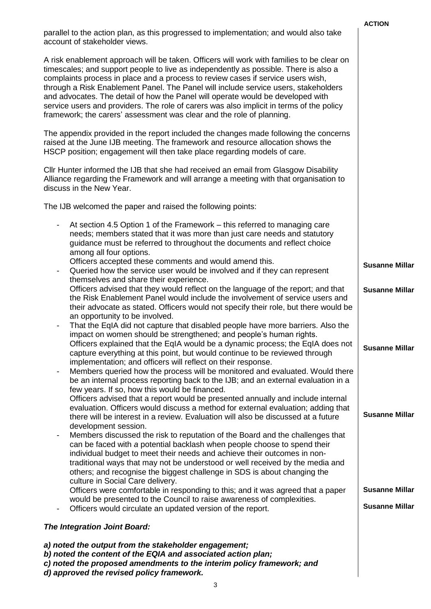|                                                                                                                                                                                                                                                                                                                                                                                                                                                                                                                                                                                                                      | <b>ACTION</b>                                  |  |
|----------------------------------------------------------------------------------------------------------------------------------------------------------------------------------------------------------------------------------------------------------------------------------------------------------------------------------------------------------------------------------------------------------------------------------------------------------------------------------------------------------------------------------------------------------------------------------------------------------------------|------------------------------------------------|--|
| parallel to the action plan, as this progressed to implementation; and would also take<br>account of stakeholder views.                                                                                                                                                                                                                                                                                                                                                                                                                                                                                              |                                                |  |
| A risk enablement approach will be taken. Officers will work with families to be clear on<br>timescales; and support people to live as independently as possible. There is also a<br>complaints process in place and a process to review cases if service users wish,<br>through a Risk Enablement Panel. The Panel will include service users, stakeholders<br>and advocates. The detail of how the Panel will operate would be developed with<br>service users and providers. The role of carers was also implicit in terms of the policy<br>framework; the carers' assessment was clear and the role of planning. |                                                |  |
| The appendix provided in the report included the changes made following the concerns<br>raised at the June IJB meeting. The framework and resource allocation shows the<br>HSCP position; engagement will then take place regarding models of care.                                                                                                                                                                                                                                                                                                                                                                  |                                                |  |
| Cllr Hunter informed the IJB that she had received an email from Glasgow Disability<br>Alliance regarding the Framework and will arrange a meeting with that organisation to<br>discuss in the New Year.                                                                                                                                                                                                                                                                                                                                                                                                             |                                                |  |
| The IJB welcomed the paper and raised the following points:                                                                                                                                                                                                                                                                                                                                                                                                                                                                                                                                                          |                                                |  |
| At section 4.5 Option 1 of the Framework – this referred to managing care<br>$\overline{\phantom{a}}$<br>needs; members stated that it was more than just care needs and statutory<br>guidance must be referred to throughout the documents and reflect choice<br>among all four options.                                                                                                                                                                                                                                                                                                                            |                                                |  |
| Officers accepted these comments and would amend this.<br>Queried how the service user would be involved and if they can represent<br>$\overline{\phantom{a}}$                                                                                                                                                                                                                                                                                                                                                                                                                                                       | <b>Susanne Millar</b>                          |  |
| themselves and share their experience.<br>Officers advised that they would reflect on the language of the report; and that<br>the Risk Enablement Panel would include the involvement of service users and<br>their advocate as stated. Officers would not specify their role, but there would be                                                                                                                                                                                                                                                                                                                    | <b>Susanne Millar</b>                          |  |
| an opportunity to be involved.<br>That the EqIA did not capture that disabled people have more barriers. Also the<br>$\overline{\phantom{a}}$<br>impact on women should be strengthened; and people's human rights.<br>Officers explained that the EqIA would be a dynamic process; the EqIA does not<br>capture everything at this point, but would continue to be reviewed through                                                                                                                                                                                                                                 | <b>Susanne Millar</b>                          |  |
| implementation; and officers will reflect on their response.<br>Members queried how the process will be monitored and evaluated. Would there<br>$\overline{\phantom{a}}$<br>be an internal process reporting back to the IJB; and an external evaluation in a<br>few years. If so, how this would be financed.                                                                                                                                                                                                                                                                                                       |                                                |  |
| Officers advised that a report would be presented annually and include internal<br>evaluation. Officers would discuss a method for external evaluation; adding that<br>there will be interest in a review. Evaluation will also be discussed at a future<br>development session.                                                                                                                                                                                                                                                                                                                                     | <b>Susanne Millar</b>                          |  |
| Members discussed the risk to reputation of the Board and the challenges that<br>$\overline{\phantom{a}}$<br>can be faced with a potential backlash when people choose to spend their<br>individual budget to meet their needs and achieve their outcomes in non-<br>traditional ways that may not be understood or well received by the media and<br>others; and recognise the biggest challenge in SDS is about changing the<br>culture in Social Care delivery.                                                                                                                                                   |                                                |  |
| Officers were comfortable in responding to this; and it was agreed that a paper<br>would be presented to the Council to raise awareness of complexities.                                                                                                                                                                                                                                                                                                                                                                                                                                                             | <b>Susanne Millar</b><br><b>Susanne Millar</b> |  |
| Officers would circulate an updated version of the report.                                                                                                                                                                                                                                                                                                                                                                                                                                                                                                                                                           |                                                |  |
| The Integration Joint Board:                                                                                                                                                                                                                                                                                                                                                                                                                                                                                                                                                                                         |                                                |  |
| a) noted the output from the stakeholder engagement;<br>b) noted the content of the EQIA and associated action plan;<br>c) noted the proposed amendments to the interim policy framework; and                                                                                                                                                                                                                                                                                                                                                                                                                        |                                                |  |

*d) approved the revised policy framework.*

 $\overline{\phantom{a}}$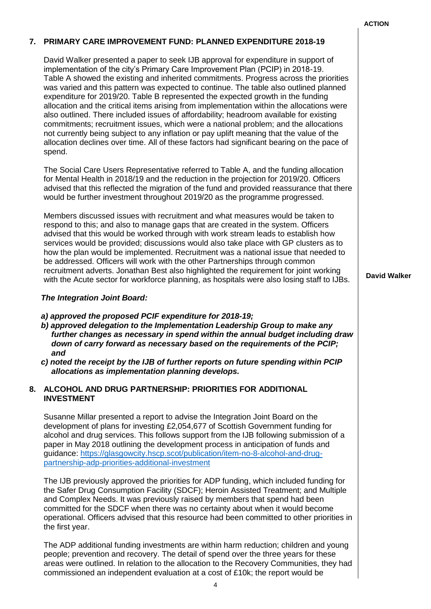#### **ACTION**

## **7. PRIMARY CARE IMPROVEMENT FUND: PLANNED EXPENDITURE 2018-19**

David Walker presented a paper to seek IJB approval for expenditure in support of implementation of the city's Primary Care Improvement Plan (PCIP) in 2018-19. Table A showed the existing and inherited commitments. Progress across the priorities was varied and this pattern was expected to continue. The table also outlined planned expenditure for 2019/20. Table B represented the expected growth in the funding allocation and the critical items arising from implementation within the allocations were also outlined. There included issues of affordability; headroom available for existing commitments; recruitment issues, which were a national problem; and the allocations not currently being subject to any inflation or pay uplift meaning that the value of the allocation declines over time. All of these factors had significant bearing on the pace of spend.

The Social Care Users Representative referred to Table A, and the funding allocation for Mental Health in 2018/19 and the reduction in the projection for 2019/20. Officers advised that this reflected the migration of the fund and provided reassurance that there would be further investment throughout 2019/20 as the programme progressed.

Members discussed issues with recruitment and what measures would be taken to respond to this; and also to manage gaps that are created in the system. Officers advised that this would be worked through with work stream leads to establish how services would be provided; discussions would also take place with GP clusters as to how the plan would be implemented. Recruitment was a national issue that needed to be addressed. Officers will work with the other Partnerships through common recruitment adverts. Jonathan Best also highlighted the requirement for joint working with the Acute sector for workforce planning, as hospitals were also losing staff to IJBs.

### *The Integration Joint Board:*

- *a) approved the proposed PCIF expenditure for 2018-19;*
- *b) approved delegation to the Implementation Leadership Group to make any further changes as necessary in spend within the annual budget including draw down of carry forward as necessary based on the requirements of the PCIP; and*
- *c) noted the receipt by the IJB of further reports on future spending within PCIP allocations as implementation planning develops.*

## **8. ALCOHOL AND DRUG PARTNERSHIP: PRIORITIES FOR ADDITIONAL INVESTMENT**

Susanne Millar presented a report to advise the Integration Joint Board on the development of plans for investing £2,054,677 of Scottish Government funding for alcohol and drug services. This follows support from the IJB following submission of a paper in May 2018 outlining the development process in anticipation of funds and guidance: [https://glasgowcity.hscp.scot/publication/item-no-8-alcohol-and-drug](https://glasgowcity.hscp.scot/publication/item-no-8-alcohol-and-drug-partnership-adp-priorities-additional-investment)[partnership-adp-priorities-additional-investment](https://glasgowcity.hscp.scot/publication/item-no-8-alcohol-and-drug-partnership-adp-priorities-additional-investment)

The IJB previously approved the priorities for ADP funding, which included funding for the Safer Drug Consumption Facility (SDCF); Heroin Assisted Treatment; and Multiple and Complex Needs. It was previously raised by members that spend had been committed for the SDCF when there was no certainty about when it would become operational. Officers advised that this resource had been committed to other priorities in the first year.

The ADP additional funding investments are within harm reduction; children and young people; prevention and recovery. The detail of spend over the three years for these areas were outlined. In relation to the allocation to the Recovery Communities, they had commissioned an independent evaluation at a cost of £10k; the report would be

**David Walker**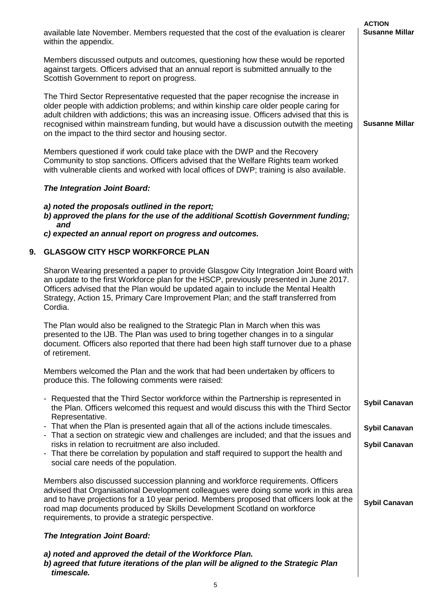|    | available late November. Members requested that the cost of the evaluation is clearer<br>within the appendix.                                                                                                                                                                                                                                                                                                                | <b>ACTION</b><br><b>Susanne Millar</b> |
|----|------------------------------------------------------------------------------------------------------------------------------------------------------------------------------------------------------------------------------------------------------------------------------------------------------------------------------------------------------------------------------------------------------------------------------|----------------------------------------|
|    | Members discussed outputs and outcomes, questioning how these would be reported<br>against targets. Officers advised that an annual report is submitted annually to the<br>Scottish Government to report on progress.                                                                                                                                                                                                        |                                        |
|    | The Third Sector Representative requested that the paper recognise the increase in<br>older people with addiction problems; and within kinship care older people caring for<br>adult children with addictions; this was an increasing issue. Officers advised that this is<br>recognised within mainstream funding, but would have a discussion outwith the meeting<br>on the impact to the third sector and housing sector. | <b>Susanne Millar</b>                  |
|    | Members questioned if work could take place with the DWP and the Recovery<br>Community to stop sanctions. Officers advised that the Welfare Rights team worked<br>with vulnerable clients and worked with local offices of DWP; training is also available.                                                                                                                                                                  |                                        |
|    | The Integration Joint Board:                                                                                                                                                                                                                                                                                                                                                                                                 |                                        |
|    | a) noted the proposals outlined in the report;<br>b) approved the plans for the use of the additional Scottish Government funding;<br>and                                                                                                                                                                                                                                                                                    |                                        |
|    | c) expected an annual report on progress and outcomes.                                                                                                                                                                                                                                                                                                                                                                       |                                        |
| 9. | <b>GLASGOW CITY HSCP WORKFORCE PLAN</b>                                                                                                                                                                                                                                                                                                                                                                                      |                                        |
|    | Sharon Wearing presented a paper to provide Glasgow City Integration Joint Board with<br>an update to the first Workforce plan for the HSCP, previously presented in June 2017.<br>Officers advised that the Plan would be updated again to include the Mental Health<br>Strategy, Action 15, Primary Care Improvement Plan; and the staff transferred from<br>Cordia.                                                       |                                        |
|    | The Plan would also be realigned to the Strategic Plan in March when this was<br>presented to the IJB. The Plan was used to bring together changes in to a singular<br>document. Officers also reported that there had been high staff turnover due to a phase<br>of retirement.                                                                                                                                             |                                        |
|    | Members welcomed the Plan and the work that had been undertaken by officers to<br>produce this. The following comments were raised:                                                                                                                                                                                                                                                                                          |                                        |
|    | - Requested that the Third Sector workforce within the Partnership is represented in<br>the Plan. Officers welcomed this request and would discuss this with the Third Sector<br>Representative.                                                                                                                                                                                                                             | <b>Sybil Canavan</b>                   |
|    | - That when the Plan is presented again that all of the actions include timescales.<br>- That a section on strategic view and challenges are included; and that the issues and                                                                                                                                                                                                                                               | <b>Sybil Canavan</b>                   |
|    | risks in relation to recruitment are also included.<br>- That there be correlation by population and staff required to support the health and<br>social care needs of the population.                                                                                                                                                                                                                                        | <b>Sybil Canavan</b>                   |
|    | Members also discussed succession planning and workforce requirements. Officers<br>advised that Organisational Development colleagues were doing some work in this area<br>and to have projections for a 10 year period. Members proposed that officers look at the<br>road map documents produced by Skills Development Scotland on workforce<br>requirements, to provide a strategic perspective.                          | <b>Sybil Canavan</b>                   |
|    | The Integration Joint Board:                                                                                                                                                                                                                                                                                                                                                                                                 |                                        |
|    | a) noted and approved the detail of the Workforce Plan.<br>b) agreed that future iterations of the plan will be aligned to the Strategic Plan<br>timescale.                                                                                                                                                                                                                                                                  |                                        |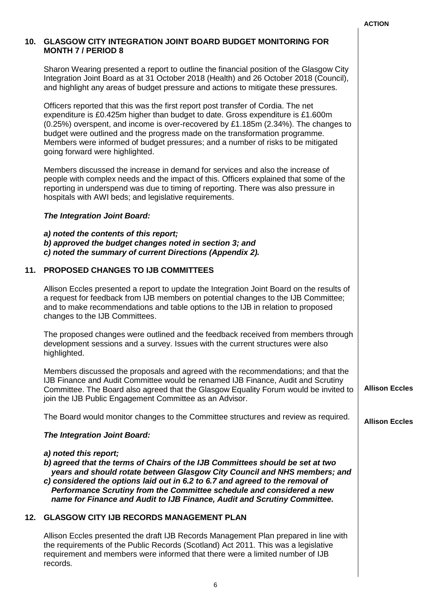**Allison Eccles**

# **10. GLASGOW CITY INTEGRATION JOINT BOARD BUDGET MONITORING FOR MONTH 7 / PERIOD 8**

Sharon Wearing presented a report to outline the financial position of the Glasgow City Integration Joint Board as at 31 October 2018 (Health) and 26 October 2018 (Council), and highlight any areas of budget pressure and actions to mitigate these pressures.

Officers reported that this was the first report post transfer of Cordia. The net expenditure is £0.425m higher than budget to date. Gross expenditure is £1.600m (0.25%) overspent, and income is over-recovered by £1.185m (2.34%). The changes to budget were outlined and the progress made on the transformation programme. Members were informed of budget pressures; and a number of risks to be mitigated going forward were highlighted.

Members discussed the increase in demand for services and also the increase of people with complex needs and the impact of this. Officers explained that some of the reporting in underspend was due to timing of reporting. There was also pressure in hospitals with AWI beds; and legislative requirements.

### *The Integration Joint Board:*

*a) noted the contents of this report; b) approved the budget changes noted in section 3; and c) noted the summary of current Directions (Appendix 2).*

# **11. PROPOSED CHANGES TO IJB COMMITTEES**

Allison Eccles presented a report to update the Integration Joint Board on the results of a request for feedback from IJB members on potential changes to the IJB Committee; and to make recommendations and table options to the IJB in relation to proposed changes to the IJB Committees.

The proposed changes were outlined and the feedback received from members through development sessions and a survey. Issues with the current structures were also highlighted.

Members discussed the proposals and agreed with the recommendations; and that the IJB Finance and Audit Committee would be renamed IJB Finance, Audit and Scrutiny Committee. The Board also agreed that the Glasgow Equality Forum would be invited to join the IJB Public Engagement Committee as an Advisor. **Allison Eccles**

The Board would monitor changes to the Committee structures and review as required.

## *The Integration Joint Board:*

*a) noted this report; b) agreed that the terms of Chairs of the IJB Committees should be set at two years and should rotate between Glasgow City Council and NHS members; and c) considered the options laid out in 6.2 to 6.7 and agreed to the removal of Performance Scrutiny from the Committee schedule and considered a new name for Finance and Audit to IJB Finance, Audit and Scrutiny Committee.*

# **12. GLASGOW CITY IJB RECORDS MANAGEMENT PLAN**

Allison Eccles presented the draft IJB Records Management Plan prepared in line with the requirements of the Public Records (Scotland) Act 2011. This was a legislative requirement and members were informed that there were a limited number of IJB records.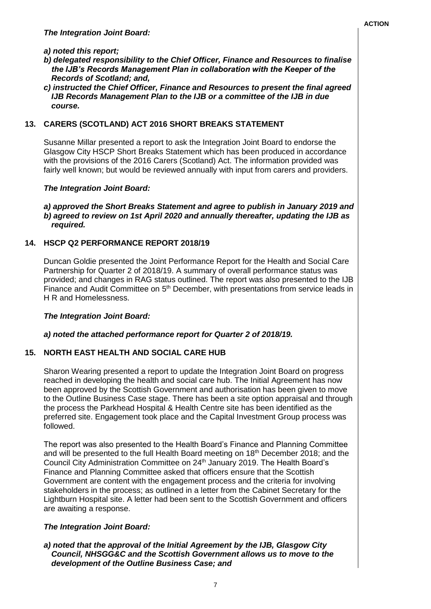### *a) noted this report;*

- *b) delegated responsibility to the Chief Officer, Finance and Resources to finalise the IJB's Records Management Plan in collaboration with the Keeper of the Records of Scotland; and,*
- *c) instructed the Chief Officer, Finance and Resources to present the final agreed IJB Records Management Plan to the IJB or a committee of the IJB in due course.*

### **13. CARERS (SCOTLAND) ACT 2016 SHORT BREAKS STATEMENT**

Susanne Millar presented a report to ask the Integration Joint Board to endorse the Glasgow City HSCP Short Breaks Statement which has been produced in accordance with the provisions of the 2016 Carers (Scotland) Act. The information provided was fairly well known; but would be reviewed annually with input from carers and providers.

### *The Integration Joint Board:*

#### *a) approved the Short Breaks Statement and agree to publish in January 2019 and b) agreed to review on 1st April 2020 and annually thereafter, updating the IJB as required.*

## **14. HSCP Q2 PERFORMANCE REPORT 2018/19**

Duncan Goldie presented the Joint Performance Report for the Health and Social Care Partnership for Quarter 2 of 2018/19. A summary of overall performance status was provided; and changes in RAG status outlined. The report was also presented to the IJB Finance and Audit Committee on 5<sup>th</sup> December, with presentations from service leads in H R and Homelessness.

#### *The Integration Joint Board:*

#### *a) noted the attached performance report for Quarter 2 of 2018/19.*

## **15. NORTH EAST HEALTH AND SOCIAL CARE HUB**

Sharon Wearing presented a report to update the Integration Joint Board on progress reached in developing the health and social care hub. The Initial Agreement has now been approved by the Scottish Government and authorisation has been given to move to the Outline Business Case stage. There has been a site option appraisal and through the process the Parkhead Hospital & Health Centre site has been identified as the preferred site. Engagement took place and the Capital Investment Group process was followed.

The report was also presented to the Health Board's Finance and Planning Committee and will be presented to the full Health Board meeting on 18<sup>th</sup> December 2018; and the Council City Administration Committee on 24<sup>th</sup> January 2019. The Health Board's Finance and Planning Committee asked that officers ensure that the Scottish Government are content with the engagement process and the criteria for involving stakeholders in the process; as outlined in a letter from the Cabinet Secretary for the Lightburn Hospital site. A letter had been sent to the Scottish Government and officers are awaiting a response.

#### *The Integration Joint Board:*

## *a) noted that the approval of the Initial Agreement by the IJB, Glasgow City Council, NHSGG&C and the Scottish Government allows us to move to the development of the Outline Business Case; and*